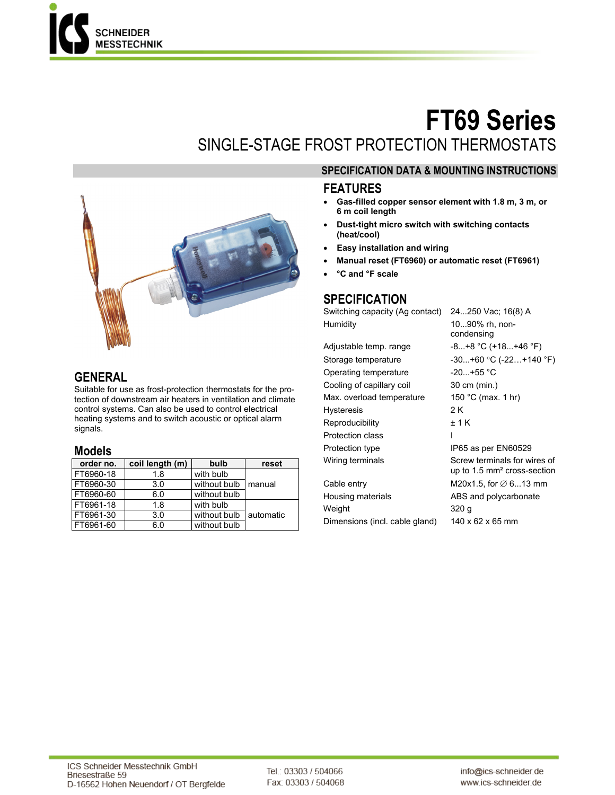

# **FT69 Series**  SINGLE-STAGE FROST PROTECTION THERMOSTATS



#### **SPECIFICATION DATA & MOUNTING INSTRUCTIONS**

#### **FEATURES**

- **Gas-filled copper sensor element with 1.8 m, 3 m, or 6 m coil length**
- **Dust-tight micro switch with switching contacts (heat/cool)**
- **Easy installation and wiring**
- **Manual reset (FT6960) or automatic reset (FT6961)**
- **°C and °F scale**

#### **SPECIFICATION**

Switching capacity (Ag contact) 24...250 Vac; 16(8) A Humidity 10...90% rh, noncondensing

| Adjustable temp. range    | $-8+8$ °C (+18+46 °F)                                                  |  |
|---------------------------|------------------------------------------------------------------------|--|
| Storage temperature       | $-30+60$ °C ( $-22+140$ °F)                                            |  |
| Operating temperature     | $-20+55$ °C                                                            |  |
| Cooling of capillary coil | 30 cm (min.)                                                           |  |
| Max. overload temperature | 150 °C (max. 1 hr)                                                     |  |
| <b>Hysteresis</b>         | 2 K                                                                    |  |
| Reproducibility           | ±1K                                                                    |  |
| Protection class          | ı                                                                      |  |
| Protection type           | IP65 as per EN60529                                                    |  |
| Wiring terminals          | Screw terminals for wires of<br>up to $1.5 \text{ mm}^2$ cross-section |  |
| Cable entry               | M20x1.5, for $\varnothing$ 613 mm                                      |  |
| Housing materials         | ABS and polycarbonate                                                  |  |
| Weight                    | 320 g                                                                  |  |
|                           |                                                                        |  |

Dimensions (incl. cable gland) 140 x 62 x 65 mm

**GENERAL** 

Suitable for use as frost-protection thermostats for the protection of downstream air heaters in ventilation and climate control systems. Can also be used to control electrical heating systems and to switch acoustic or optical alarm signals.

#### **Models**

| order no. | coil length (m) | bulb         | reset      |
|-----------|-----------------|--------------|------------|
| FT6960-18 | 1.8             | with bulb    |            |
| FT6960-30 | 3.0             | without bulb | manual     |
| FT6960-60 | 6.0             | without bulb |            |
| FT6961-18 | 1.8             | with bulb    |            |
| FT6961-30 | 3.0             | without bulb | lautomatic |
| FT6961-60 | 6.0             | without bulb |            |